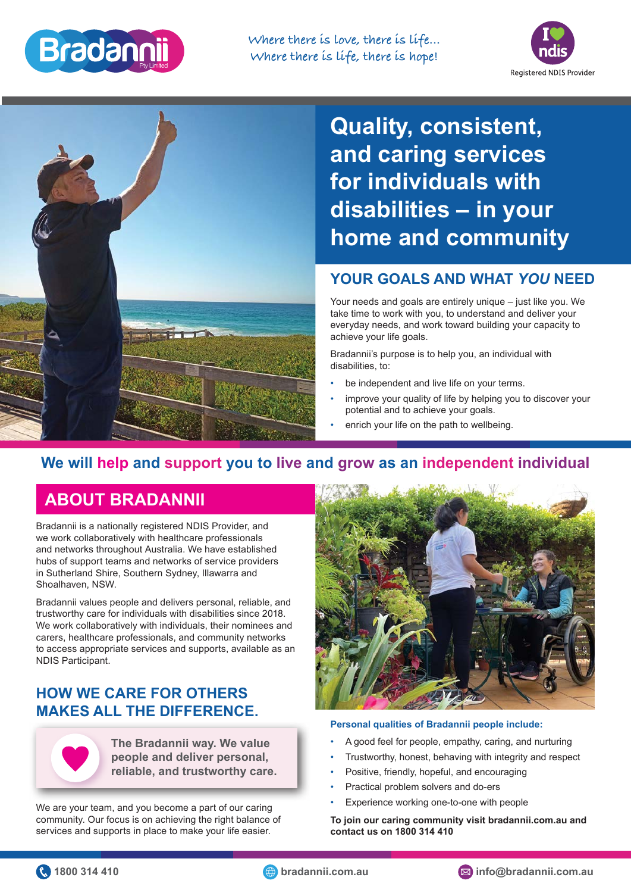

**Where there is love, there is life... Where there is life, there is hope!**



**Quality, consistent, and caring services for individuals with disabilities – in your home and community**

## **YOUR GOALS AND WHAT** *YOU* **NEED**

Your needs and goals are entirely unique – just like you. We take time to work with you, to understand and deliver your everyday needs, and work toward building your capacity to achieve your life goals.

Bradannii's purpose is to help you, an individual with disabilities, to:

- be independent and live life on your terms.
- improve your quality of life by helping you to discover your potential and to achieve your goals.
- enrich your life on the path to wellbeing.

# **We will help and support you to live and grow as an independent individual**

# **ABOUT BRADANNII**

Bradannii is a nationally registered NDIS Provider, and we work collaboratively with healthcare professionals and networks throughout Australia. We have established hubs of support teams and networks of service providers in Sutherland Shire, Southern Sydney, Illawarra and Shoalhaven, NSW.

Bradannii values people and delivers personal, reliable, and trustworthy care for individuals with disabilities since 2018. We work collaboratively with individuals, their nominees and carers, healthcare professionals, and community networks to access appropriate services and supports, available as an NDIS Participant.

## **HOW WE CARE FOR OTHERS MAKES ALL THE DIFFERENCE.**



**The Bradannii way. We value people and deliver personal, reliable, and trustworthy care.**

We are your team, and you become a part of our caring community. Our focus is on achieving the right balance of services and supports in place to make your life easier.



#### **Personal qualities of Bradannii people include:**

- A good feel for people, empathy, caring, and nurturing
- Trustworthy, honest, behaving with integrity and respect
- Positive, friendly, hopeful, and encouraging
- Practical problem solvers and do-ers
- Experience working one-to-one with people

**To join our caring community visit bradannii.com.au and contact us on 1800 314 410**

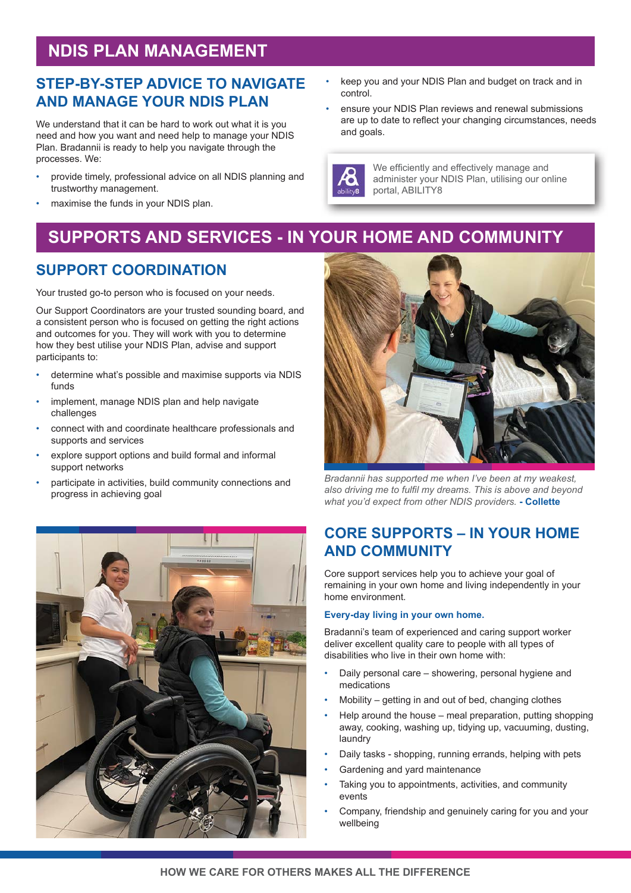# **NDIS PLAN MANAGEMENT**

### **STEP-BY-STEP ADVICE TO NAVIGATE AND MANAGE YOUR NDIS PLAN**

We understand that it can be hard to work out what it is you need and how you want and need help to manage your NDIS Plan. Bradannii is ready to help you navigate through the processes. We:

- provide timely, professional advice on all NDIS planning and trustworthy management.
- maximise the funds in your NDIS plan.
- keep you and your NDIS Plan and budget on track and in control.
- ensure your NDIS Plan reviews and renewal submissions are up to date to reflect your changing circumstances, needs and goals.



We efficiently and effectively manage and administer your NDIS Plan, utilising our online portal, ABILITY8

# **SUPPORTS AND SERVICES - IN YOUR HOME AND COMMUNITY**

## **SUPPORT COORDINATION**

Your trusted go-to person who is focused on your needs.

Our Support Coordinators are your trusted sounding board, and a consistent person who is focused on getting the right actions and outcomes for you. They will work with you to determine how they best utilise your NDIS Plan, advise and support participants to:

- determine what's possible and maximise supports via NDIS funds
- implement, manage NDIS plan and help navigate challenges
- connect with and coordinate healthcare professionals and supports and services
- explore support options and build formal and informal support networks
- participate in activities, build community connections and progress in achieving goal





*Bradannii has supported me when I've been at my weakest, also driving me to fulfil my dreams. This is above and beyond what you'd expect from other NDIS providers.* **- Collette**

# **CORE SUPPORTS – IN YOUR HOME AND COMMUNITY**

Core support services help you to achieve your goal of remaining in your own home and living independently in your home environment.

#### **Every-day living in your own home.**

Bradanni's team of experienced and caring support worker deliver excellent quality care to people with all types of disabilities who live in their own home with:

- Daily personal care showering, personal hygiene and medications
- Mobility getting in and out of bed, changing clothes
- Help around the house meal preparation, putting shopping away, cooking, washing up, tidying up, vacuuming, dusting, laundry
- Daily tasks shopping, running errands, helping with pets
- Gardening and yard maintenance
- Taking you to appointments, activities, and community events
- Company, friendship and genuinely caring for you and your wellbeing